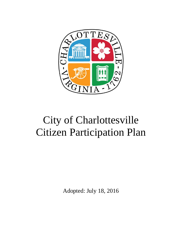

# City of Charlottesville Citizen Participation Plan

Adopted: July 18, 2016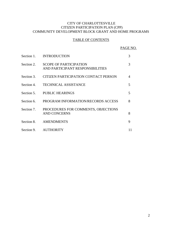## CITY OF CHARLOTTESVILLE CITIZEN PARTICIPATION PLAN (CPP) COMMUNITY DEVELOPMENT BLOCK GRANT AND HOME PROGRAMS

## TABLE OF CONTENTS

PAGE NO.

| Section 1. | <b>INTRODUCTION</b>                                               | 3 |
|------------|-------------------------------------------------------------------|---|
| Section 2. | <b>SCOPE OF PARTICIPATION</b><br>AND PARTICIPANT RESPONSIBILITIES | 3 |
| Section 3. | CITIZEN PARTICIPATION CONTACT PERSON                              | 4 |
| Section 4. | <b>TECHNICAL ASSISTANCE</b>                                       | 5 |
| Section 5. | <b>PUBLIC HEARINGS</b>                                            | 5 |
| Section 6. | PROGRAM INFORMATION/RECORDS ACCESS                                | 8 |
| Section 7. | PROCEDURES FOR COMMENTS, OBJECTIONS<br><b>AND CONCERNS</b>        | 8 |
| Section 8. | <b>AMENDMENTS</b>                                                 | 9 |
| Section 9. | <b>AUTHORITY</b>                                                  |   |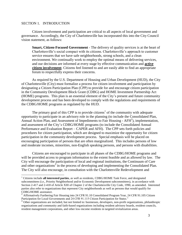#### SECTION 1. INTRODUCTION

 $\overline{a}$ 

Citizen involvement and participation are critical to all aspects of local government and governance. Accordingly, the City of Charlottesville has incorporated this into the City Council vision statement, as follows:

**Smart, Citizen-Focused Government** - The delivery of quality services is at the heart of Charlottesville's social compact with its citizens. Charlottesville's approach to customer service ensures that we have safe neighborhoods, strong schools, and a clean environment. We continually work to employ the optimal means of delivering services, and our decisions are informed at every stage by effective communication and **active citizen involvement**. Citizens feel listened to and are easily able to find an appropriate forum to respectfully express their concerns.

As required by the U.S. Department of Housing and Urban Development (HUD), the City of Charlottesville (City) must formalize a process for citizen involvement and participation by designating a Citizen Participation Plan (CPP) to provide for and encourage citizen participation in the Community Development Block Grant (CDBG) and HOME Investment Partnership Act (HOME) programs. This plan is an essential element of the City's present and future community development process and has been developed to comply with the regulations and requirements of the CDBG/HOME programs as regulated by the HUD.

The primary goal of this CPP is to provide citizens<sup>1</sup> of the community with adequate opportunity to participate in an advisory role in the planning (to include the Consolidated Plan, Annual Action Plan, and Assessment of Impediments to Fair Housing -  $AFH<sup>2</sup>$ ), implementation, and assessment of the City's CDBG/HOME programs (to include the Consolidated Annual Performance and Evaluation Report – CAPER and AFH). The CPP sets forth policies and procedures for citizen participation, which are designed to maximize the opportunity for citizen participation in the community development process. Special emphasis will be placed on encouraging participation of persons that are often marginalized. This includes persons of low and moderate incomes, minorities, non-English speaking persons, and persons with disabilities.

Citizens are encouraged to participate in all phases of the CDBG/HOME programs and will be provided access to program information to the extent feasible and as allowed by law. The City will encourage the participation of local and regional institutions, the Continuum of Care and other organizations<sup>3</sup> in the process of developing and implementing the Consolidated Plan. The City will also encourage, in consultation with the Charlottesville Redevelopment and

<sup>1</sup> Citizens include **all interested parties**, as well as residents, CDBG/HOME Task Force, and designated subcommittees (i.e., Priority Neighborhood and/or Economic Development subcommittees), in accordance with Section 2-417 and 2-418 of Article XIII of Chapter 2 of the Charlottesville City Code, 1990, as amended. Interested parties also refer to organizations that represent City neighborhoods as well as persons that would qualify for CDBG/HOME assistance.

<sup>&</sup>lt;sup>2</sup> Affirmatively Furthering Fair Housing into 24 CFR 91.10 Consolidated Program Year, 24 CFR 91.105 Citizen Participation for Local Governments and 24 CFR 91.115 Citizen Participation for States."

<sup>&</sup>lt;sup>3</sup> Other organizations are included, but not limited to: businesses, developers, non-profit organizations, philanthropic organizations and community and faith-based organizations including resident advisory boards, resident councils, resident management corporations, and other low-income residents in targeted revitalization areas.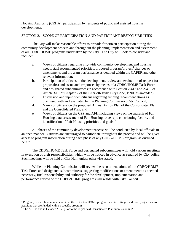Housing Authority (CRHA), participation by residents of public and assisted housing developments.

## SECTION 2. SCOPE OF PARTICIPATION AND PARTICIPANT RESPONSIBILITIES

The City will make reasonable efforts to provide for citizen participation during the community development process and throughout the planning, implementation and assessment of all CDBG/HOME programs undertaken by the City. The City will look to consider and include:

- a. Views of citizens regarding city-wide community development and housing needs, staff recommended priorities, proposed program/project<sup>4</sup> changes or amendments and program performance as detailed within the CAPER and other relevant information;
- b. Participation of citizens in the development, review and evaluation of request for proposal(s) and associated responses by means of a CDBG/HOME Task Force and designated subcommittees (in accordance with Section 2-417 and 2-418 of Article XIII of Chapter 2 of the Charlottesville City Code, 1990, as amended);
- c. Discussion and input from citizens regarding funding recommendations as discussed with and evaluated by the Planning Commission/City Council;
- d. Views of citizens on the proposed Annual Action Plan of the Consolidated Plan and the Consolidated Plan; and
- e. Views of citizens on the CPP and AFH including views on the analysis of Fair Housing data, assessment of Fair Housing issues and contributing factors, and identification of Fair Housing priorities and goals. $5$

All phases of the community development process will be conducted by local officials in an open manner. Citizens are encouraged to participate throughout the process and will be given access to program information during each phase of any CDBG/HOME program, as outlined herein.

The CDBG/HOME Task Force and designated subcommittees will hold various meetings in execution of their responsibilities, which will be noticed in advance as required by City policy. Such meetings will be held at City Hall, unless otherwise stated.

While the Planning Commission will review the recommendations of the CDBG/HOME Task Force and designated subcommittees, suggesting modifications or amendments as deemed necessary, final responsibility and authority for the development, implementation and performance review of the CDBG/HOME programs will reside with City Council.

 $\overline{a}$ 

<sup>&</sup>lt;sup>4</sup> Program, as used herein, refers to either the CDBG or HOME programs and is distinguished from projects and/or activities that are funded within a specific program.

<sup>&</sup>lt;sup>5</sup> The AFH is due in October 2017, prior to the City's next Consolidated Plan submission in 2018.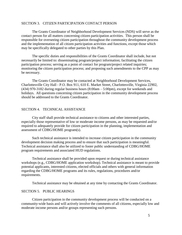## SECTION 3. CITIZEN PARTICIPATION CONTACT PERSON

The Grants Coordinator of Neighborhood Development Services (NDS) will serve as the contact person for all matters concerning citizen participation activities. This person shall be responsible for overseeing citizen participation throughout the community development process and the implementation of all citizen participation activities and functions, except those which may be specifically delegated to other parties by this Plan.

The specific duties and responsibilities of the Grants Coordinator shall include, but not necessarily be limited to: disseminating program/project information; facilitating the citizen participation process; serving as a point of contact for program/project related inquiries; monitoring the citizen participation process; and proposing such amendments to the CPP as may be necessary.

The Grants Coordinator may be contacted at Neighborhood Development Services, Charlottesville City Hall - P.O. Box 911, 610 E. Market Street, Charlottesville, Virginia 22902, (434) 970-3182 during regular business hours (8:00am – 5:00pm), except for weekends and holidays. All questions concerning citizen participation in the community development process should be addressed to the Grants Coordinator.

#### SECTION 4. TECHNICAL ASSISTANCE

City staff shall provide technical assistance to citizens and other interested parties, especially those representative of low or moderate income persons, as may be requested and/or required to adequately provide for citizen participation in the planning, implementation and assessment of CDBG/HOME program(s).

Such technical assistance is intended to increase citizen participation in the community development decision making process and to ensure that such participation is meaningful. Technical assistance shall also be utilized to foster public understanding of CDBG/HOME program requirements and associated HUD regulations.

Technical assistance shall be provided upon request or during technical assistance workshops (e.g., CDBG/HOME application workshop). Technical assistance is meant to provide potential applicants, interested citizens, elected officials and others with general information regarding the CDBG/HOME programs and its rules, regulations, procedures and/or requirements.

Technical assistance may be obtained at any time by contacting the Grants Coordinator.

#### SECTION 5. PUBLIC HEARINGS

Citizen participation in the community development process will be conducted on a community-wide basis and will actively involve the comments of all citizens, especially low and moderate income persons and/or groups representing such persons.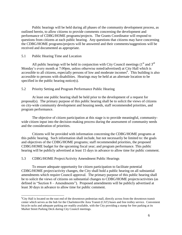Public hearings will be held during all phases of the community development process, as outlined herein, to allow citizens to provide comments concerning the development and performance of CDBG/HOME programs/projects. The Grants Coordinator will respond to questions from citizens at each public hearing. Any questions that citizens may have concerning the CDBG/HOME programs/projects will be answered and their comments/suggestions will be received and documented as appropriate.

#### 5.1 Public Hearing Time and Location

All public hearings will be held in conjunction with City Council meetings  $(1<sup>st</sup>$  and  $3<sup>rd</sup>$ Monday's every month at 7:00pm, unless otherwise noted/advertised) at City Hall which is accessible to all citizens, especially persons of low and moderate incomes<sup>6</sup>. This building is also accessible to persons with disabilities. Hearings may be held at an alternate location to be specified in the public hearing notice(s).

#### 5.2 Priority Setting and Program Performance Public Hearing

At least one public hearing shall be held prior to the development of a request for proposal(s). The primary purpose of this public hearing shall be to solicit the views of citizens on city-wide community development and housing needs, staff recommended priorities, and program performance.

The objective of citizen participation at this stage is to provide meaningful, communitywide citizen input into the decision-making process during the assessment of community needs and the consideration of priorities.

Citizens will be provided with information concerning the CDBG/HOME programs at this public hearing. Such information shall include, but not necessarily be limited to: the goals and objectives of the CDBG/HOME programs; staff recommended priorities, the proposed CDBG/HOME budget for the upcoming fiscal year; and program performance. This public hearing will be publicly advertised at least 15 days in advance to allow time for public comment.

#### 5.3 CDBG/HOME Project/Activity Amendment Public Hearings

 $\overline{a}$ 

To ensure adequate opportunity for citizen participation to facilitate potential CDBG/HOME project/activity changes, the City shall hold a public hearing on all substantial amendments which require Council approval. The primary purpose of this public hearing shall be to solicit the views of citizens on substantial changes to CDBG/HOME projects/activities (as defined in "Section 8 – Amendments"). Proposed amendments will be publicly advertised at least 30 days in advance to allow time for public comment.

<sup>6</sup>City Hall is located on the east end of the downtown pedestrian mall, directly across from the downtown transit center which serves as the hub for the Charlottesville Area Transit (CAT) buses and free trolley service. Convenient bicycle racks and adequate parking are readily available, with the City providing a stamp for free parking at its Market Street Parking Deck during City Council meetings.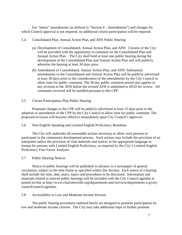For "minor" amendments (as defined in "Section 8 - Amendments") and changes for which Council approval is not required, no additional citizen participation will be required.

#### 5.4 Consolidated Plan, Annual Action Plan, and AFH Public Hearing

- (a) Development of Consolidated, Annual Action Plan, and AFH: Citizens of the City will be provided with the opportunity to comment on the Consolidated Plan and Annual Action Plan. The City shall hold at least one public hearing during the development of the Consolidated Plan and Annual Action Plan and will publicly advertise the hearing at least 30 days prior.
- (b) Amendment of Consolidated, Annual Action Plan, and AFH: Substantial amendments to the Consolidated and Annual Action Plan will be publicly advertised at least 30 days prior to the consideration of the amendments by the City Council to allow time for public comment. The 30 day public comment period also applies to any revision to the AFH before the revised AFH is submitted to HUD for review. All comments received will be handled pursuant to this CPP.

## 5.5 Citizen Participation Plan Public Hearing

Proposed changes to the CPP will be publicly advertised at least 15 days prior to the adoption or amendment of the CPP by the City Council to allow time for public comment. The proposed revisions will become effective immediately upon City Council's approval.

#### 5.6 Non-English Speaking and Limited English Proficiency Residents

The City will undertake all reasonable actions necessary to allow such persons to participate in the community development process. Such actions may include the provision of an interpreter and/or the provision of vital materials and notices in the appropriate language or format for persons with Limited English Proficiency, as required by the City's Limited English Proficiency Four Factor Analysis.

#### 5.7 Public Hearing Notices

Notice of public hearings will be published in advance in a newspaper of general circulation, subject to the time frame as specified within this Section. Each notice of a hearing shall include the time, date, place, topics and procedures to be discussed. Information and materials related to noticed public hearings will be included with the City Council agendas at posted on-line at [http://www.charlottesville.org/departments-and-services/departments-a-g/city](http://www.charlottesville.org/departments-and-services/departments-a-g/city-council/council-agendas)[council/council-agendas.](http://www.charlottesville.org/departments-and-services/departments-a-g/city-council/council-agendas)

5.8 Accessibility to Low and Moderate Income Persons

The public hearing procedures outlined herein are designed to promote participation by low and moderate income citizens. The City may take additional steps to further promote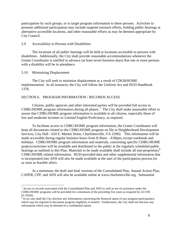participation by such groups, or to target program information to these persons. Activities to promote additional participation may include targeted outreach efforts, holding public hearings at alternative accessible locations, and other reasonable efforts as may be deemed appropriate by City Council.

#### 5.9 Accessibility to Persons with Disabilities

The locations of all public hearings will be held at locations accessible to persons with disabilities. Additionally, the City shall provide reasonable accommodations whenever the Grants Coordinator is notified in advance (at least seven business days) that one or more persons with a disability will be in attendance

#### 5.10 Minimizing Displacement

 $\overline{a}$ 

The City will seek to minimize displacement as a result of CDGB/HOME implementation. In all instances, the City will follow the Uniform Act and HUD Handbook 1378.

#### SECTION 6. PROGRAM INFORMATION / RECORDS ACCESS

Citizens, public agencies and other interested parties will be provided full access to CDBG/HOME program information during all phases.<sup>7</sup> The City shall make reasonable effort to assure that CDBG/HOME program information is available to all citizens, especially those of low and moderate incomes or Limited English Proficiency, as required.

To facilitate access to CDBG/HOME program information, the Grants Coordinator will keep all documents related to the CDBG/HOME program on file in Neighborhood Development Services, City Hall - 610 E. Market Street, Charlottesville, VA 22902. This information will be made accessible during regular business hours from 8:30am – 4:00pm, except weekends and holidays. CDBG/HOME program information and materials, concerning specific CDBG/HOME projects/activities will be available and distributed to the public at the regularly scheduled public hearings as outlined in this Plan. Materials to be made available shall include all non-proprietary<sup>8</sup> CDBG/HOME related information. HUD-provided data and other supplemental information that is incorporated into AFH will also be made available at the start of the participation process (or as soon as feasible after).

At a minimum, the draft and final versions of the Consolidated Plan, Annual Action Plan, CAPER, CPP, and AFH will also be available online at [www.charlottesville.org.](http://www.charlottesville.org/) Substantial

 $\frac{7}{1}$  Access to records associated with the Consolidated Plan and AFH as well as use of assistance under the CDBG/HOME programs will be provided for a minimum of the preceding five years as required by 24 CFR 91.105(h).

 $8 \text{ In no case shall the City disclose any information concerning the financial status of any program participant(s)$ which may be required to document program eligibility or benefit. Furthermore, the City shall not disclose any information which may be deemed of a confidential nature.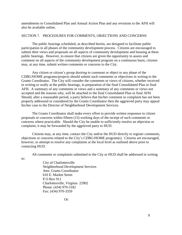amendments to Consolidated Plan and Annual Action Plan and any revisions to the AFH will also be available online.

## SECTION 7. PROCEDURES FOR COMMENTS, OBJECTIONS AND CONCERNS

The public hearings scheduled, as described herein, are designed to facilitate public participation in all phases of the community development process. Citizens are encouraged to submit their views and proposals on all aspects of community development and housing at these public hearings. However, to ensure that citizens are given the opportunity to assess and comment on all aspects of the community development program on a continuous basis, citizens may, at any time, submit written comments or concerns to the City.

Any citizen or citizen's group desiring to comment or object to any phase of the CDBG/HOME programs/projects should submit such comments or objections in writing to the Grants Coordinator. The City will consider the comments or views of citizens, whether received in writing or orally at the public hearings, in preparation of the final Consolidated Plan or final AFH. A summary of any comments or views and a summary of any comments or views not accepted and the reasons why, will be attached to the final Consolidated Plan or final AFH. Should, after a reasonable period, a party believe that his/her comment or complaint has not been properly addressed or considered by the Grants Coordinator then the aggrieved party may appeal his/her case to the Director of Neighborhood Development Services.

The Grants Coordinator shall make every effort to provide written responses to citizen proposals or concerns within fifteen (15) working days of the receipt of such comments or concerns where practicable. Should the City be unable to sufficiently resolve an objection or complaint, it may be forwarded by the aggrieved party to HUD.

Citizens may, at any time, contact the City and/or the HUD directly to register comments, objections or concerns related to the City's CDBG/HOME program(s). Citizens are encouraged, however, to attempt to resolve any complaints at the local level as outlined above prior to contacting HUD.

All comments or complaints submitted to the City or HUD shall be addressed in writing

to:

City of Charlottesville Neighborhood Development Services Attn: Grants Coordinator 610 E. Market Street P O Box 911 Charlottesville, Virginia 22902 Phone: (434) 970-3182 Fax: (434) 970-3359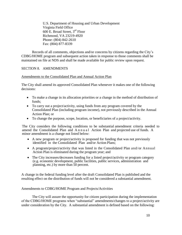U.S. Department of Housing and Urban Development Virginia Field Office 600 E. Broad Street, 3rd Floor Richmond, VA 23219-4920 Phone: (804) 842-2610 Fax: (804) 877-8339

Records of all comments, objections and/or concerns by citizens regarding the City's CDBG/HOME program and subsequent action taken in response to those comments shall be maintained on file at NDS and shall be made available for public review upon request.

## SECTION 8. AMENDMENTS

#### Amendments to the Consolidated Plan and Annual Action Plan

The City shall amend its approved Consolidated Plan whenever it makes one of the following decisions:

- To make a change in its allocation priorities or a change in the method of distribution of funds;
- To carry out a project/activity, using funds from any program covered by the Consolidated Plan (including program income), not previously described in the Annual Action Plan; or
- To change the purpose, scope, location, or beneficiaries of a project/activity.

The City considers the following conditions to be substantial amendment criteria needed to amend the Consolidated Plan and A n n u a l Action Plan and projected use of funds. A minor amendment is a change not listed below:

- A new program or project/activity is proposed for funding that was not previously identified in the Consolidated Plan and/or Action Plans;
- A program/project/activity that was listed in the Consolidated Plan and/or Annual Action Plan is eliminated during the program year; and
- The City increases/decreases funding for a listed project/activity or program category (e.g. economic development, public facilities, public services, administration and planning, etc.) by more than 50 percent.

A change in the federal funding level after the draft Consolidated Plan is published and the resulting effect on the distribution of funds will not be considered a substantial amendment.

#### Amendments to CDBG/HOME Program and Projects/Activities

The City will assure the opportunity for citizen participation during the implementation of the CDBG/HOME programs when "substantial" amendments/changes to a project/activity are under consideration by the City. A substantial amendment is defined based on the following: